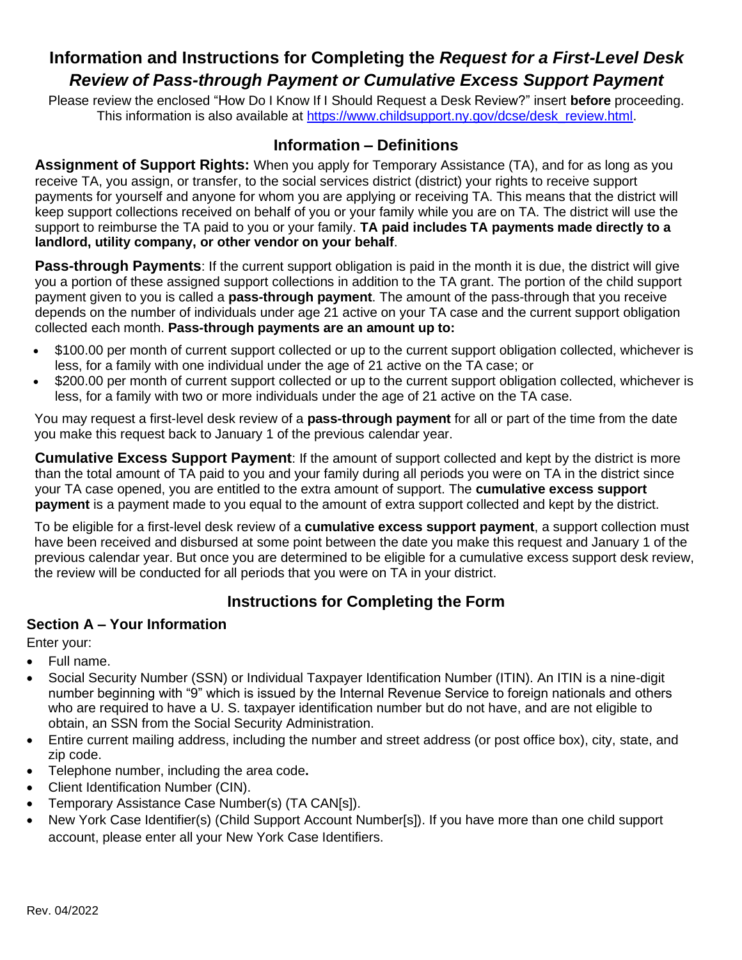# **Information and Instructions for Completing the** *Request for a First-Level Desk Review of Pass-through Payment or Cumulative Excess Support Payment*

Please review the enclosed "How Do I Know If I Should Request a Desk Review?" insert **before** proceeding. This information is also available at [https://www.childsupport.ny.gov/dcse/desk\\_review.html.](https://www.childsupport.ny.gov/dcse/desk_review.html)

# **Information – Definitions**

**Assignment of Support Rights:** When you apply for Temporary Assistance (TA), and for as long as you receive TA, you assign, or transfer, to the social services district (district) your rights to receive support payments for yourself and anyone for whom you are applying or receiving TA. This means that the district will keep support collections received on behalf of you or your family while you are on TA. The district will use the support to reimburse the TA paid to you or your family. **TA paid includes TA payments made directly to a landlord, utility company, or other vendor on your behalf**.

**Pass-through Payments**: If the current support obligation is paid in the month it is due, the district will give you a portion of these assigned support collections in addition to the TA grant. The portion of the child support payment given to you is called a **pass-through payment**. The amount of the pass-through that you receive depends on the number of individuals under age 21 active on your TA case and the current support obligation collected each month. **Pass-through payments are an amount up to:**

- \$100.00 per month of current support collected or up to the current support obligation collected, whichever is less, for a family with one individual under the age of 21 active on the TA case; or
- \$200.00 per month of current support collected or up to the current support obligation collected, whichever is less, for a family with two or more individuals under the age of 21 active on the TA case.

You may request a first-level desk review of a **pass-through payment** for all or part of the time from the date you make this request back to January 1 of the previous calendar year.

**Cumulative Excess Support Payment**: If the amount of support collected and kept by the district is more than the total amount of TA paid to you and your family during all periods you were on TA in the district since your TA case opened, you are entitled to the extra amount of support. The **cumulative excess support payment** is a payment made to you equal to the amount of extra support collected and kept by the district.

To be eligible for a first-level desk review of a **cumulative excess support payment**, a support collection must have been received and disbursed at some point between the date you make this request and January 1 of the previous calendar year. But once you are determined to be eligible for a cumulative excess support desk review, the review will be conducted for all periods that you were on TA in your district.

# **Instructions for Completing the Form**

#### **Section A – Your Information**

Enter your:

- Full name.
- Social Security Number (SSN) or Individual Taxpayer Identification Number (ITIN). An ITIN is a nine-digit number beginning with "9" which is issued by the Internal Revenue Service to foreign nationals and others who are required to have a U. S. taxpayer identification number but do not have, and are not eligible to obtain, an SSN from the Social Security Administration.
- Entire current mailing address, including the number and street address (or post office box), city, state, and zip code.
- Telephone number, including the area code**.**
- Client Identification Number (CIN).
- Temporary Assistance Case Number(s) (TA CAN[s]).
- New York Case Identifier(s) (Child Support Account Number[s]). If you have more than one child support account, please enter all your New York Case Identifiers.